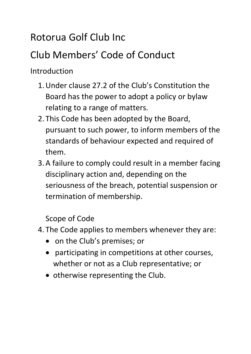## Rotorua Golf Club Inc

## Club Members' Code of Conduct

Introduction

- 1.Under clause 27.2 of the Club's Constitution the Board has the power to adopt a policy or bylaw relating to a range of matters.
- 2. This Code has been adopted by the Board, pursuant to such power, to inform members of the standards of behaviour expected and required of them.
- 3.A failure to comply could result in a member facing disciplinary action and, depending on the seriousness of the breach, potential suspension or termination of membership.

Scope of Code

- 4. The Code applies to members whenever they are:
	- on the Club's premises; or
	- participating in competitions at other courses, whether or not as a Club representative; or
	- otherwise representing the Club.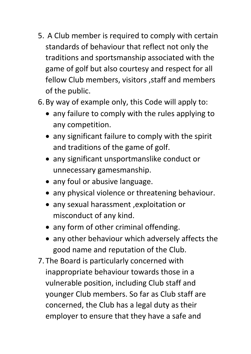- 5. A Club member is required to comply with certain standards of behaviour that reflect not only the traditions and sportsmanship associated with the game of golf but also courtesy and respect for all fellow Club members, visitors ,staff and members of the public.
- 6. By way of example only, this Code will apply to:
	- any failure to comply with the rules applying to any competition.
	- any significant failure to comply with the spirit and traditions of the game of golf.
	- any significant unsportmanslike conduct or unnecessary gamesmanship.
	- any foul or abusive language.
	- any physical violence or threatening behaviour.
	- any sexual harassment ,exploitation or misconduct of any kind.
	- any form of other criminal offending.
	- any other behaviour which adversely affects the good name and reputation of the Club.
- 7. The Board is particularly concerned with inappropriate behaviour towards those in a vulnerable position, including Club staff and younger Club members. So far as Club staff are concerned, the Club has a legal duty as their employer to ensure that they have a safe and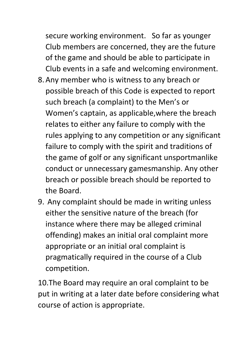secure working environment. So far as younger Club members are concerned, they are the future of the game and should be able to participate in Club events in a safe and welcoming environment.

- 8.Any member who is witness to any breach or possible breach of this Code is expected to report such breach (a complaint) to the Men's or Women's captain, as applicable,where the breach relates to either any failure to comply with the rules applying to any competition or any significant failure to comply with the spirit and traditions of the game of golf or any significant unsportmanlike conduct or unnecessary gamesmanship. Any other breach or possible breach should be reported to the Board.
- 9. Any complaint should be made in writing unless either the sensitive nature of the breach (for instance where there may be alleged criminal offending) makes an initial oral complaint more appropriate or an initial oral complaint is pragmatically required in the course of a Club competition.

10.The Board may require an oral complaint to be put in writing at a later date before considering what course of action is appropriate.